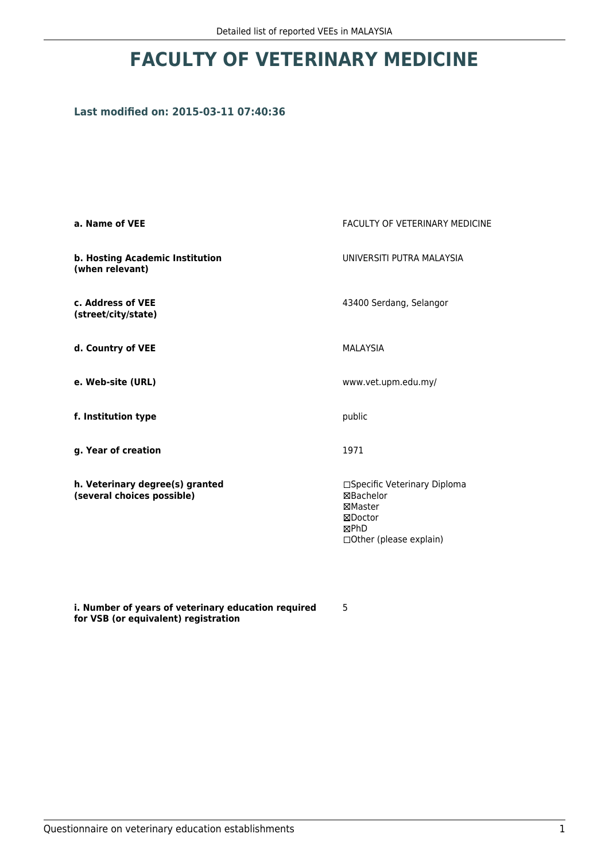# **FACULTY OF VETERINARY MEDICINE**

## **Last modified on: 2015-03-11 07:40:36**

| a. Name of VEE                                                | <b>FACULTY OF VETERINARY MEDICINE</b>                                                                             |
|---------------------------------------------------------------|-------------------------------------------------------------------------------------------------------------------|
| b. Hosting Academic Institution<br>(when relevant)            | UNIVERSITI PUTRA MALAYSIA                                                                                         |
| c. Address of VEE<br>(street/city/state)                      | 43400 Serdang, Selangor                                                                                           |
| d. Country of VEE                                             | <b>MALAYSIA</b>                                                                                                   |
| e. Web-site (URL)                                             | www.vet.upm.edu.my/                                                                                               |
| f. Institution type                                           | public                                                                                                            |
| g. Year of creation                                           | 1971                                                                                                              |
| h. Veterinary degree(s) granted<br>(several choices possible) | □Specific Veterinary Diploma<br><b>⊠Bachelor</b><br>⊠Master<br>⊠Doctor<br><b>MPhD</b><br>□ Other (please explain) |

**i. Number of years of veterinary education required for VSB (or equivalent) registration**

5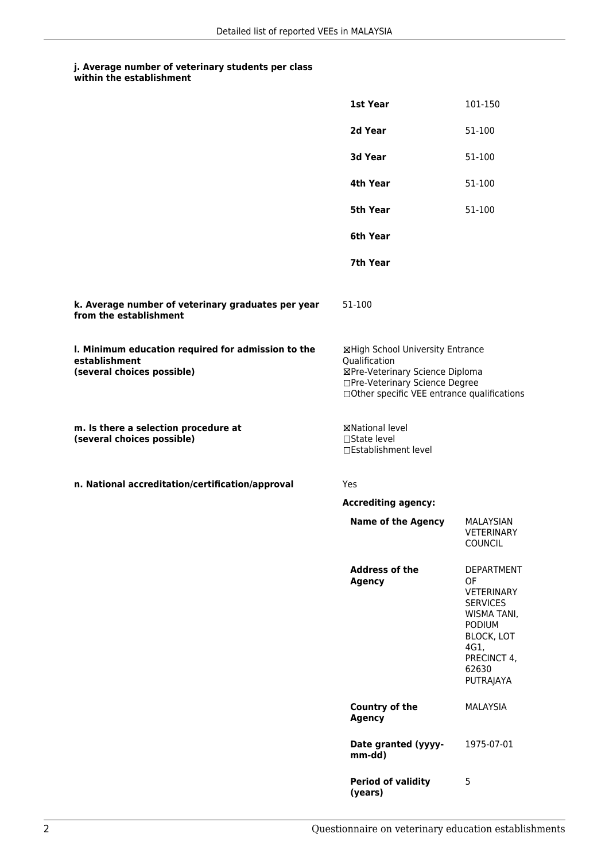#### **j. Average number of veterinary students per class within the establishment**

|                                                                                                   | 1st Year                                                                                                                                                              | 101-150                                                                                                                                                           |
|---------------------------------------------------------------------------------------------------|-----------------------------------------------------------------------------------------------------------------------------------------------------------------------|-------------------------------------------------------------------------------------------------------------------------------------------------------------------|
|                                                                                                   | 2d Year                                                                                                                                                               | 51-100                                                                                                                                                            |
|                                                                                                   | 3d Year                                                                                                                                                               | 51-100                                                                                                                                                            |
|                                                                                                   | 4th Year                                                                                                                                                              | 51-100                                                                                                                                                            |
|                                                                                                   | <b>5th Year</b>                                                                                                                                                       | 51-100                                                                                                                                                            |
|                                                                                                   | 6th Year                                                                                                                                                              |                                                                                                                                                                   |
|                                                                                                   | 7th Year                                                                                                                                                              |                                                                                                                                                                   |
| k. Average number of veterinary graduates per year<br>from the establishment                      | 51-100                                                                                                                                                                |                                                                                                                                                                   |
| I. Minimum education required for admission to the<br>establishment<br>(several choices possible) | ⊠High School University Entrance<br>Qualification<br>⊠Pre-Veterinary Science Diploma<br>□Pre-Veterinary Science Degree<br>□Other specific VEE entrance qualifications |                                                                                                                                                                   |
| m. Is there a selection procedure at<br>(several choices possible)                                | <b>⊠National level</b><br>□State level<br>□Establishment level                                                                                                        |                                                                                                                                                                   |
| n. National accreditation/certification/approval                                                  | Yes                                                                                                                                                                   |                                                                                                                                                                   |
|                                                                                                   | <b>Accrediting agency:</b>                                                                                                                                            |                                                                                                                                                                   |
|                                                                                                   | <b>Name of the Agency</b>                                                                                                                                             | MALAYSIAN<br><b>VETERINARY</b><br>COUNCIL                                                                                                                         |
|                                                                                                   | <b>Address of the</b><br><b>Agency</b>                                                                                                                                | <b>DEPARTMENT</b><br>OF<br><b>VETERINARY</b><br><b>SERVICES</b><br>WISMA TANI,<br><b>PODIUM</b><br><b>BLOCK, LOT</b><br>4G1,<br>PRECINCT 4,<br>62630<br>PUTRAJAYA |
|                                                                                                   | Country of the<br><b>Agency</b>                                                                                                                                       | <b>MALAYSIA</b>                                                                                                                                                   |
|                                                                                                   | Date granted (yyyy-<br>mm-dd)                                                                                                                                         | 1975-07-01                                                                                                                                                        |
|                                                                                                   | <b>Period of validity</b><br>(years)                                                                                                                                  | 5                                                                                                                                                                 |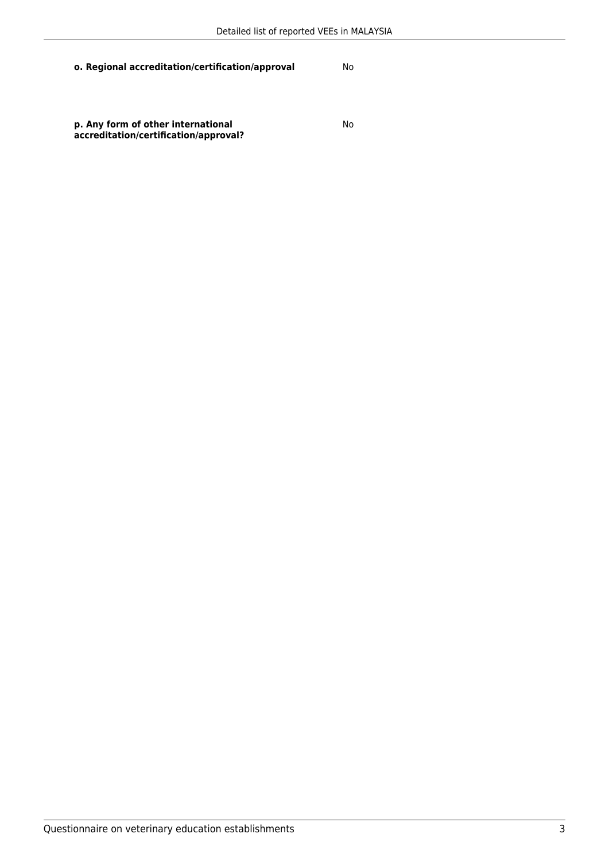**o. Regional accreditation/certification/approval** No

**p. Any form of other international accreditation/certification/approval?** No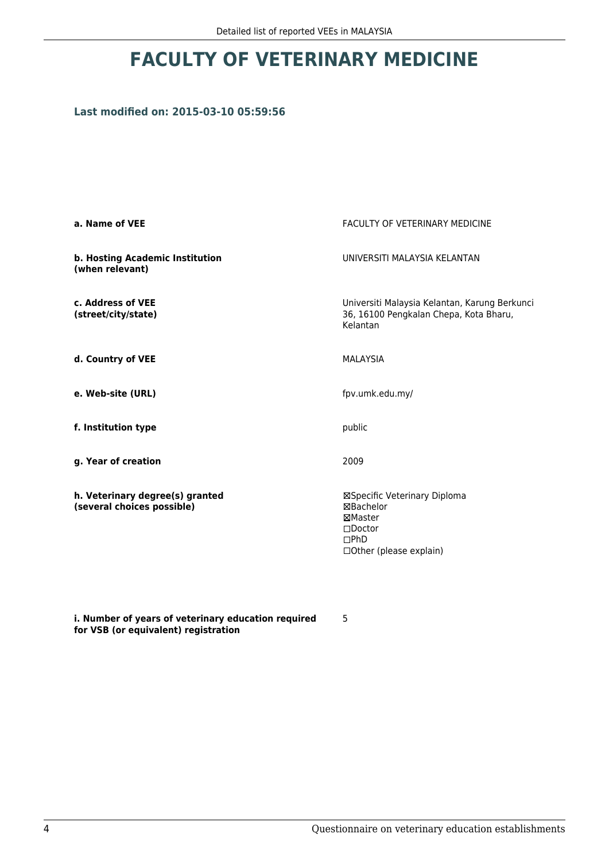# **FACULTY OF VETERINARY MEDICINE**

### **Last modified on: 2015-03-10 05:59:56**

| a. Name of VEE                                                | <b>FACULTY OF VETERINARY MEDICINE</b>                                                                             |
|---------------------------------------------------------------|-------------------------------------------------------------------------------------------------------------------|
| b. Hosting Academic Institution<br>(when relevant)            | UNIVERSITI MAI AYSIA KEI ANTAN                                                                                    |
| c. Address of VEE<br>(street/city/state)                      | Universiti Malaysia Kelantan, Karung Berkunci<br>36, 16100 Pengkalan Chepa, Kota Bharu,<br>Kelantan               |
| d. Country of VEE                                             | <b>MALAYSIA</b>                                                                                                   |
| e. Web-site (URL)                                             | fpv.umk.edu.my/                                                                                                   |
| f. Institution type                                           | public                                                                                                            |
| g. Year of creation                                           | 2009                                                                                                              |
| h. Veterinary degree(s) granted<br>(several choices possible) | ⊠Specific Veterinary Diploma<br>⊠Bachelor<br>⊠Master<br>$\square$ Doctor<br>DPhD<br>$\Box$ Other (please explain) |

**i. Number of years of veterinary education required for VSB (or equivalent) registration**

5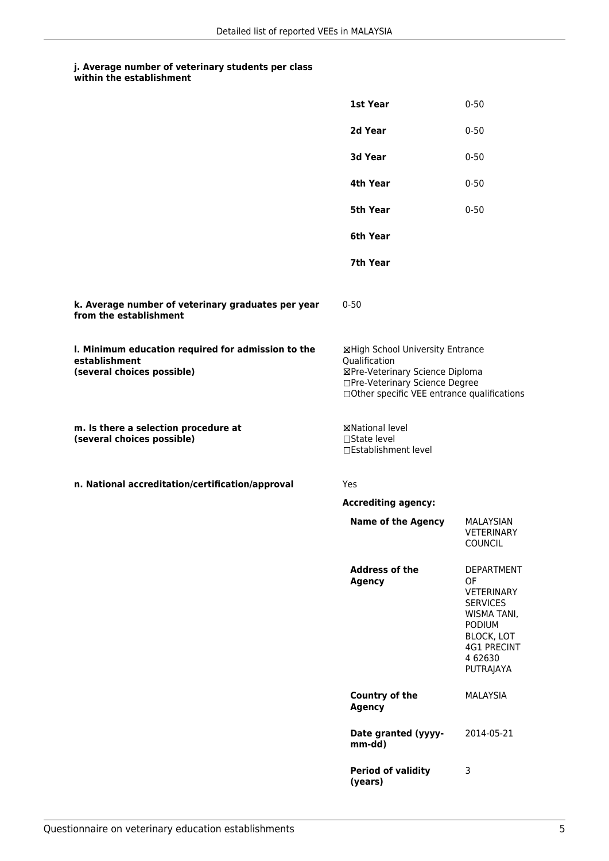#### **j. Average number of veterinary students per class within the establishment**

|                                                                                                   | 1st Year                                                                                                                                                              | $0 - 50$                                                                                                                                                    |
|---------------------------------------------------------------------------------------------------|-----------------------------------------------------------------------------------------------------------------------------------------------------------------------|-------------------------------------------------------------------------------------------------------------------------------------------------------------|
|                                                                                                   | 2d Year                                                                                                                                                               | $0 - 50$                                                                                                                                                    |
|                                                                                                   | 3d Year                                                                                                                                                               | $0 - 50$                                                                                                                                                    |
|                                                                                                   | 4th Year                                                                                                                                                              | $0 - 50$                                                                                                                                                    |
|                                                                                                   | 5th Year                                                                                                                                                              | $0 - 50$                                                                                                                                                    |
|                                                                                                   | 6th Year                                                                                                                                                              |                                                                                                                                                             |
|                                                                                                   | 7th Year                                                                                                                                                              |                                                                                                                                                             |
| k. Average number of veterinary graduates per year<br>from the establishment                      | $0 - 50$                                                                                                                                                              |                                                                                                                                                             |
| I. Minimum education required for admission to the<br>establishment<br>(several choices possible) | ⊠High School University Entrance<br>Qualification<br>⊠Pre-Veterinary Science Diploma<br>□Pre-Veterinary Science Degree<br>□Other specific VEE entrance qualifications |                                                                                                                                                             |
| m. Is there a selection procedure at<br>(several choices possible)                                | ⊠National level<br>$\Box$ State level<br>□Establishment level                                                                                                         |                                                                                                                                                             |
| n. National accreditation/certification/approval                                                  | Yes                                                                                                                                                                   |                                                                                                                                                             |
|                                                                                                   | <b>Accrediting agency:</b>                                                                                                                                            |                                                                                                                                                             |
|                                                                                                   | <b>Name of the Agency</b>                                                                                                                                             | MALAYSIAN<br><b>VETERINARY</b><br><b>COUNCIL</b>                                                                                                            |
|                                                                                                   | <b>Address of the</b><br><b>Agency</b>                                                                                                                                | <b>DEPARTMENT</b><br>OF<br>VETERINARY<br><b>SERVICES</b><br>WISMA TANI,<br><b>PODIUM</b><br><b>BLOCK, LOT</b><br><b>4G1 PRECINT</b><br>4 62630<br>PUTRAJAYA |
|                                                                                                   | <b>Country of the</b><br><b>Agency</b>                                                                                                                                | <b>MALAYSIA</b>                                                                                                                                             |
|                                                                                                   | Date granted (yyyy-<br>mm-dd)                                                                                                                                         | 2014-05-21                                                                                                                                                  |
|                                                                                                   | <b>Period of validity</b><br>(years)                                                                                                                                  | 3                                                                                                                                                           |